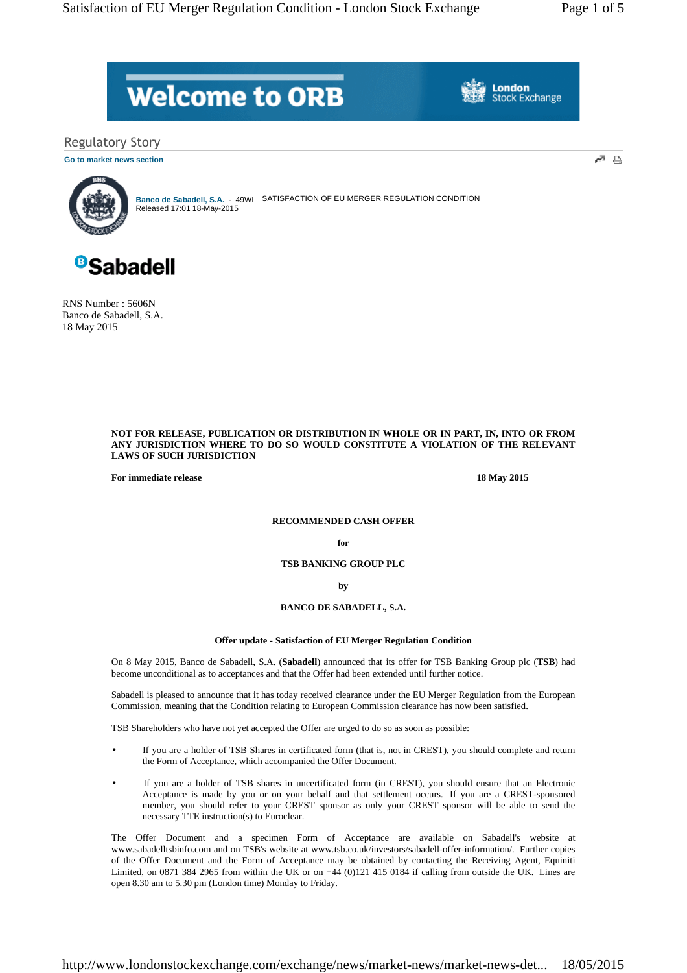# **Welcome to ORB**

**London Stock Exchange** 

Regulatory Story

**Go to market news section**



SATISFACTION OF EU MERGER REGULATION CONDITION Banco de Sabadell, S.A. - 49WI<br>Released 17:01 18-May-2015



RNS Number : 5606N Banco de Sabadell, S.A. 18 May 2015

## **NOT FOR RELEASE, PUBLICATION OR DISTRIBUTION IN WHOLE OR IN PART, IN, INTO OR FROM ANY JURISDICTION WHERE TO DO SO WOULD CONSTITUTE A VIOLATION OF THE RELEVANT LAWS OF SUCH JURISDICTION**

**For immediate release** 18 May 2015

# **RECOMMENDED CASH OFFER**

**for**

**TSB BANKING GROUP PLC** 

**by** 

**BANCO DE SABADELL, S.A.** 

# **Offer update - Satisfaction of EU Merger Regulation Condition**

On 8 May 2015, Banco de Sabadell, S.A. (**Sabadell**) announced that its offer for TSB Banking Group plc (**TSB**) had become unconditional as to acceptances and that the Offer had been extended until further notice.

Sabadell is pleased to announce that it has today received clearance under the EU Merger Regulation from the European Commission, meaning that the Condition relating to European Commission clearance has now been satisfied.

TSB Shareholders who have not yet accepted the Offer are urged to do so as soon as possible:

- If you are a holder of TSB Shares in certificated form (that is, not in CREST), you should complete and return the Form of Acceptance, which accompanied the Offer Document.
- If you are a holder of TSB shares in uncertificated form (in CREST), you should ensure that an Electronic Acceptance is made by you or on your behalf and that settlement occurs. If you are a CREST-sponsored member, you should refer to your CREST sponsor as only your CREST sponsor will be able to send the necessary TTE instruction(s) to Euroclear.

The Offer Document and a specimen Form of Acceptance are available on Sabadell's website at www.sabadelltsbinfo.com and on TSB's website at www.tsb.co.uk/investors/sabadell-offer-information/. Further copies of the Offer Document and the Form of Acceptance may be obtained by contacting the Receiving Agent, Equiniti Limited, on 0871 384 2965 from within the UK or on +44 (0)121 415 0184 if calling from outside the UK. Lines are open 8.30 am to 5.30 pm (London time) Monday to Friday.

http://www.londonstockexchange.com/exchange/news/market-news/market-news-det... 18/05/2015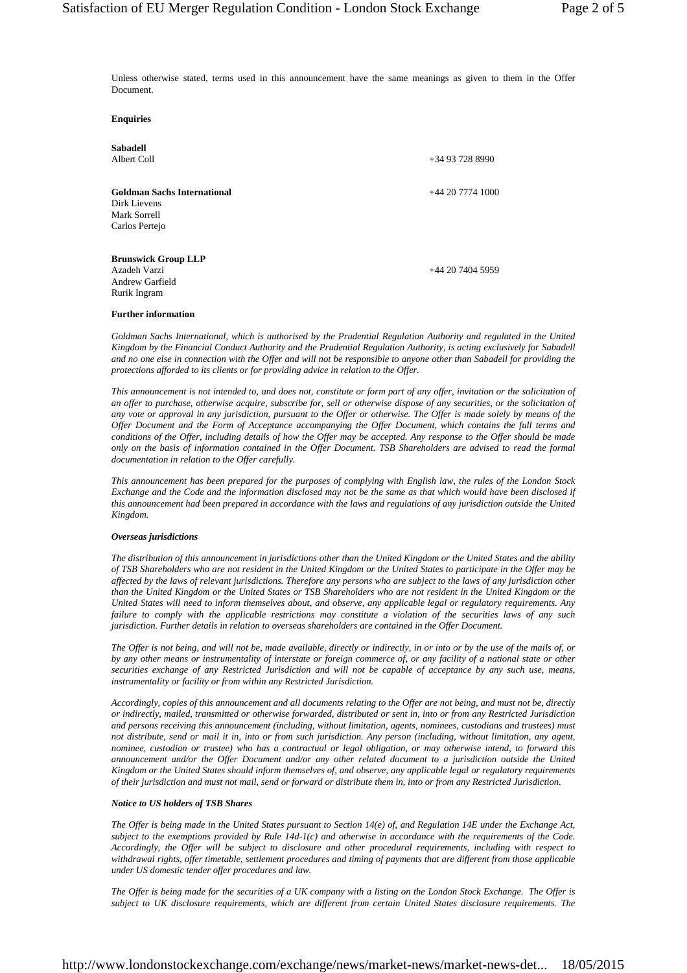Unless otherwise stated, terms used in this announcement have the same meanings as given to them in the Offer Document.

**Enquiries** 

| Sabadell                           |                    |
|------------------------------------|--------------------|
| Albert Coll                        | $+34937288990$     |
| <b>Goldman Sachs International</b> | $+442077741000$    |
| Dirk Lievens                       |                    |
| Mark Sorrell                       |                    |
| Carlos Pertejo                     |                    |
| <b>Brunswick Group LLP</b>         |                    |
| Azadeh Varzi                       | $+44$ 20 7404 5959 |
| Andrew Garfield                    |                    |
| Rurik Ingram                       |                    |

#### **Further information**

*Goldman Sachs International, which is authorised by the Prudential Regulation Authority and regulated in the United Kingdom by the Financial Conduct Authority and the Prudential Regulation Authority, is acting exclusively for Sabadell and no one else in connection with the Offer and will not be responsible to anyone other than Sabadell for providing the protections afforded to its clients or for providing advice in relation to the Offer.* 

*This announcement is not intended to, and does not, constitute or form part of any offer, invitation or the solicitation of an offer to purchase, otherwise acquire, subscribe for, sell or otherwise dispose of any securities, or the solicitation of any vote or approval in any jurisdiction, pursuant to the Offer or otherwise. The Offer is made solely by means of the Offer Document and the Form of Acceptance accompanying the Offer Document, which contains the full terms and conditions of the Offer, including details of how the Offer may be accepted. Any response to the Offer should be made only on the basis of information contained in the Offer Document. TSB Shareholders are advised to read the formal documentation in relation to the Offer carefully.* 

*This announcement has been prepared for the purposes of complying with English law, the rules of the London Stock Exchange and the Code and the information disclosed may not be the same as that which would have been disclosed if this announcement had been prepared in accordance with the laws and regulations of any jurisdiction outside the United Kingdom.* 

#### *Overseas jurisdictions*

*The distribution of this announcement in jurisdictions other than the United Kingdom or the United States and the ability of TSB Shareholders who are not resident in the United Kingdom or the United States to participate in the Offer may be affected by the laws of relevant jurisdictions. Therefore any persons who are subject to the laws of any jurisdiction other than the United Kingdom or the United States or TSB Shareholders who are not resident in the United Kingdom or the United States will need to inform themselves about, and observe, any applicable legal or regulatory requirements. Any failure to comply with the applicable restrictions may constitute a violation of the securities laws of any such jurisdiction. Further details in relation to overseas shareholders are contained in the Offer Document.* 

*The Offer is not being, and will not be, made available, directly or indirectly, in or into or by the use of the mails of, or by any other means or instrumentality of interstate or foreign commerce of, or any facility of a national state or other securities exchange of any Restricted Jurisdiction and will not be capable of acceptance by any such use, means, instrumentality or facility or from within any Restricted Jurisdiction.* 

*Accordingly, copies of this announcement and all documents relating to the Offer are not being, and must not be, directly or indirectly, mailed, transmitted or otherwise forwarded, distributed or sent in, into or from any Restricted Jurisdiction and persons receiving this announcement (including, without limitation, agents, nominees, custodians and trustees) must not distribute, send or mail it in, into or from such jurisdiction. Any person (including, without limitation, any agent, nominee, custodian or trustee) who has a contractual or legal obligation, or may otherwise intend, to forward this announcement and/or the Offer Document and/or any other related document to a jurisdiction outside the United Kingdom or the United States should inform themselves of, and observe, any applicable legal or regulatory requirements of their jurisdiction and must not mail, send or forward or distribute them in, into or from any Restricted Jurisdiction.* 

#### *Notice to US holders of TSB Shares*

*The Offer is being made in the United States pursuant to Section 14(e) of, and Regulation 14E under the Exchange Act, subject to the exemptions provided by Rule 14d-1(c) and otherwise in accordance with the requirements of the Code. Accordingly, the Offer will be subject to disclosure and other procedural requirements, including with respect to withdrawal rights, offer timetable, settlement procedures and timing of payments that are different from those applicable under US domestic tender offer procedures and law.* 

*The Offer is being made for the securities of a UK company with a listing on the London Stock Exchange. The Offer is subject to UK disclosure requirements, which are different from certain United States disclosure requirements. The*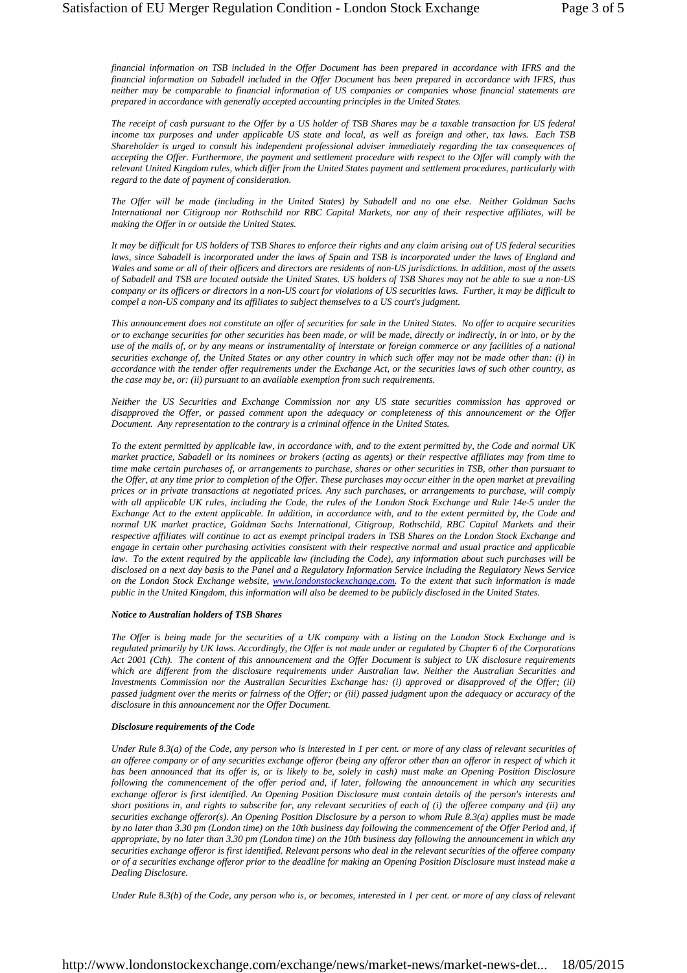*financial information on TSB included in the Offer Document has been prepared in accordance with IFRS and the financial information on Sabadell included in the Offer Document has been prepared in accordance with IFRS, thus neither may be comparable to financial information of US companies or companies whose financial statements are prepared in accordance with generally accepted accounting principles in the United States.* 

*The receipt of cash pursuant to the Offer by a US holder of TSB Shares may be a taxable transaction for US federal income tax purposes and under applicable US state and local, as well as foreign and other, tax laws. Each TSB Shareholder is urged to consult his independent professional adviser immediately regarding the tax consequences of accepting the Offer. Furthermore, the payment and settlement procedure with respect to the Offer will comply with the relevant United Kingdom rules, which differ from the United States payment and settlement procedures, particularly with regard to the date of payment of consideration.* 

*The Offer will be made (including in the United States) by Sabadell and no one else. Neither Goldman Sachs International nor Citigroup nor Rothschild nor RBC Capital Markets, nor any of their respective affiliates, will be making the Offer in or outside the United States.* 

*It may be difficult for US holders of TSB Shares to enforce their rights and any claim arising out of US federal securities laws, since Sabadell is incorporated under the laws of Spain and TSB is incorporated under the laws of England and Wales and some or all of their officers and directors are residents of non-US jurisdictions. In addition, most of the assets of Sabadell and TSB are located outside the United States. US holders of TSB Shares may not be able to sue a non-US company or its officers or directors in a non-US court for violations of US securities laws. Further, it may be difficult to compel a non-US company and its affiliates to subject themselves to a US court's judgment.* 

*This announcement does not constitute an offer of securities for sale in the United States. No offer to acquire securities or to exchange securities for other securities has been made, or will be made, directly or indirectly, in or into, or by the use of the mails of, or by any means or instrumentality of interstate or foreign commerce or any facilities of a national securities exchange of, the United States or any other country in which such offer may not be made other than: (i) in accordance with the tender offer requirements under the Exchange Act, or the securities laws of such other country, as the case may be, or: (ii) pursuant to an available exemption from such requirements.* 

*Neither the US Securities and Exchange Commission nor any US state securities commission has approved or disapproved the Offer, or passed comment upon the adequacy or completeness of this announcement or the Offer Document. Any representation to the contrary is a criminal offence in the United States.* 

*To the extent permitted by applicable law, in accordance with, and to the extent permitted by, the Code and normal UK market practice, Sabadell or its nominees or brokers (acting as agents) or their respective affiliates may from time to time make certain purchases of, or arrangements to purchase, shares or other securities in TSB, other than pursuant to the Offer, at any time prior to completion of the Offer. These purchases may occur either in the open market at prevailing prices or in private transactions at negotiated prices. Any such purchases, or arrangements to purchase, will comply*  with all applicable UK rules, including the Code, the rules of the London Stock Exchange and Rule 14e-5 under the *Exchange Act to the extent applicable. In addition, in accordance with, and to the extent permitted by, the Code and normal UK market practice, Goldman Sachs International, Citigroup, Rothschild, RBC Capital Markets and their respective affiliates will continue to act as exempt principal traders in TSB Shares on the London Stock Exchange and engage in certain other purchasing activities consistent with their respective normal and usual practice and applicable law. To the extent required by the applicable law (including the Code), any information about such purchases will be disclosed on a next day basis to the Panel and a Regulatory Information Service including the Regulatory News Service on the London Stock Exchange website, www.londonstockexchange.com. To the extent that such information is made public in the United Kingdom, this information will also be deemed to be publicly disclosed in the United States.*

#### *Notice to Australian holders of TSB Shares*

*The Offer is being made for the securities of a UK company with a listing on the London Stock Exchange and is regulated primarily by UK laws. Accordingly, the Offer is not made under or regulated by Chapter 6 of the Corporations Act 2001 (Cth). The content of this announcement and the Offer Document is subject to UK disclosure requirements which are different from the disclosure requirements under Australian law. Neither the Australian Securities and Investments Commission nor the Australian Securities Exchange has: (i) approved or disapproved of the Offer; (ii) passed judgment over the merits or fairness of the Offer; or (iii) passed judgment upon the adequacy or accuracy of the disclosure in this announcement nor the Offer Document.* 

#### *Disclosure requirements of the Code*

*Under Rule 8.3(a) of the Code, any person who is interested in 1 per cent. or more of any class of relevant securities of an offeree company or of any securities exchange offeror (being any offeror other than an offeror in respect of which it has been announced that its offer is, or is likely to be, solely in cash) must make an Opening Position Disclosure following the commencement of the offer period and, if later, following the announcement in which any securities exchange offeror is first identified. An Opening Position Disclosure must contain details of the person's interests and short positions in, and rights to subscribe for, any relevant securities of each of (i) the offeree company and (ii) any securities exchange offeror(s). An Opening Position Disclosure by a person to whom Rule 8.3(a) applies must be made by no later than 3.30 pm (London time) on the 10th business day following the commencement of the Offer Period and, if appropriate, by no later than 3.30 pm (London time) on the 10th business day following the announcement in which any securities exchange offeror is first identified. Relevant persons who deal in the relevant securities of the offeree company or of a securities exchange offeror prior to the deadline for making an Opening Position Disclosure must instead make a Dealing Disclosure.* 

*Under Rule 8.3(b) of the Code, any person who is, or becomes, interested in 1 per cent. or more of any class of relevant*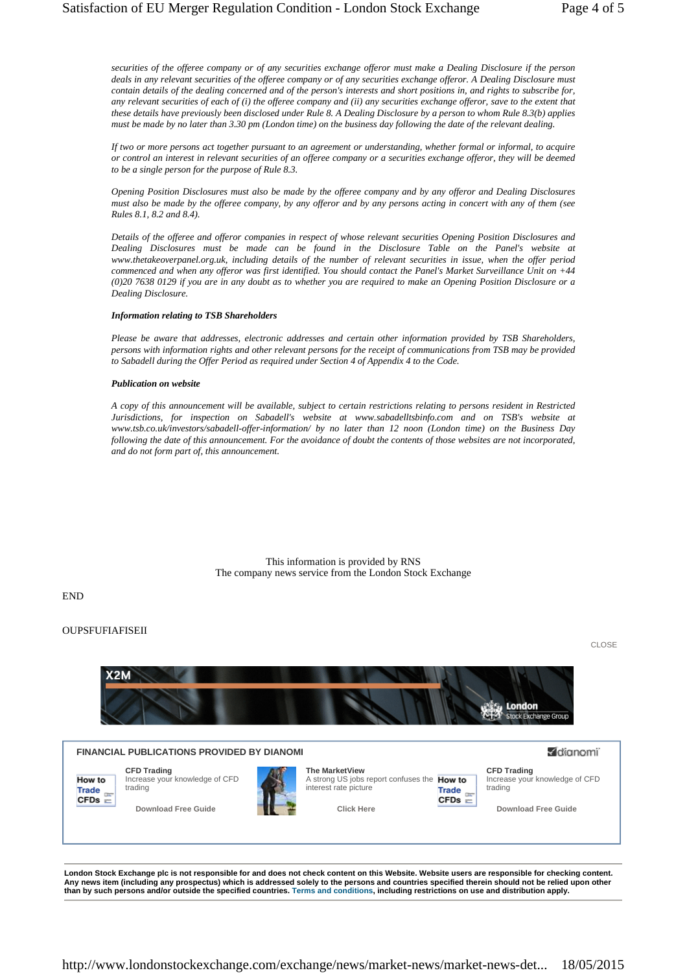*securities of the offeree company or of any securities exchange offeror must make a Dealing Disclosure if the person deals in any relevant securities of the offeree company or of any securities exchange offeror. A Dealing Disclosure must contain details of the dealing concerned and of the person's interests and short positions in, and rights to subscribe for, any relevant securities of each of (i) the offeree company and (ii) any securities exchange offeror, save to the extent that these details have previously been disclosed under Rule 8. A Dealing Disclosure by a person to whom Rule 8.3(b) applies must be made by no later than 3.30 pm (London time) on the business day following the date of the relevant dealing.* 

*If two or more persons act together pursuant to an agreement or understanding, whether formal or informal, to acquire or control an interest in relevant securities of an offeree company or a securities exchange offeror, they will be deemed to be a single person for the purpose of Rule 8.3.* 

*Opening Position Disclosures must also be made by the offeree company and by any offeror and Dealing Disclosures must also be made by the offeree company, by any offeror and by any persons acting in concert with any of them (see Rules 8.1, 8.2 and 8.4).* 

*Details of the offeree and offeror companies in respect of whose relevant securities Opening Position Disclosures and Dealing Disclosures must be made can be found in the Disclosure Table on the Panel's website at www.thetakeoverpanel.org.uk, including details of the number of relevant securities in issue, when the offer period commenced and when any offeror was first identified. You should contact the Panel's Market Surveillance Unit on +44 (0)20 7638 0129 if you are in any doubt as to whether you are required to make an Opening Position Disclosure or a Dealing Disclosure.* 

## *Information relating to TSB Shareholders*

*Please be aware that addresses, electronic addresses and certain other information provided by TSB Shareholders, persons with information rights and other relevant persons for the receipt of communications from TSB may be provided to Sabadell during the Offer Period as required under Section 4 of Appendix 4 to the Code.* 

## *Publication on website*

*A copy of this announcement will be available, subject to certain restrictions relating to persons resident in Restricted Jurisdictions, for inspection on Sabadell's website at www.sabadelltsbinfo.com and on TSB's website at www.tsb.co.uk/investors/sabadell-offer-information/ by no later than 12 noon (London time) on the Business Day following the date of this announcement. For the avoidance of doubt the contents of those websites are not incorporated, and do not form part of, this announcement.* 

> This information is provided by RNS The company news service from the London Stock Exchange

END

## **OUPSFUFIAFISEII**



**London Stock Exchange plc is not responsible for and does not check content on this Website. Website users are responsible for checking content. Any news item (including any prospectus) which is addressed solely to the persons and countries specified therein should not be relied upon other than by such persons and/or outside the specified countries. Terms and conditions, including restrictions on use and distribution apply.**